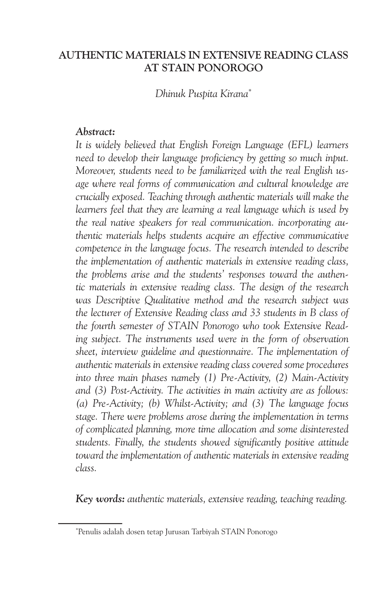#### **AUTHENTIC MATERIALS IN EXTENSIVE READING CLASS AT STAIN PONOROGO**

*Dhinuk Puspita Kirana\**

#### *Abstract:*

*It is widely believed that English Foreign Language (EFL) learners need to develop their language proficiency by getting so much input. Moreover, students need to be familiarized with the real English usage where real forms of communication and cultural knowledge are crucially exposed. Teaching through authentic materials will make the learners feel that they are learning a real language which is used by the real native speakers for real communication. incorporating authentic materials helps students acquire an effective communicative competence in the language focus. The research intended to describe the implementation of authentic materials in extensive reading class, the problems arise and the students' responses toward the authentic materials in extensive reading class. The design of the research was Descriptive Qualitative method and the research subject was the lecturer of Extensive Reading class and 33 students in B class of the fourth semester of STAIN Ponorogo who took Extensive Reading subject. The instruments used were in the form of observation sheet, interview guideline and questionnaire. The implementation of authentic materials in extensive reading class covered some procedures into three main phases namely (1) Pre-Activity, (2) Main-Activity and (3) Post-Activity. The activities in main activity are as follows: (a) Pre-Activity; (b) Whilst-Activity; and (3) The language focus stage. There were problems arose during the implementation in terms of complicated planning, more time allocation and some disinterested students. Finally, the students showed significantly positive attitude toward the implementation of authentic materials in extensive reading class.*

*Key words: authentic materials, extensive reading, teaching reading.*

<sup>\*</sup> Penulis adalah dosen tetap Jurusan Tarbiyah STAIN Ponorogo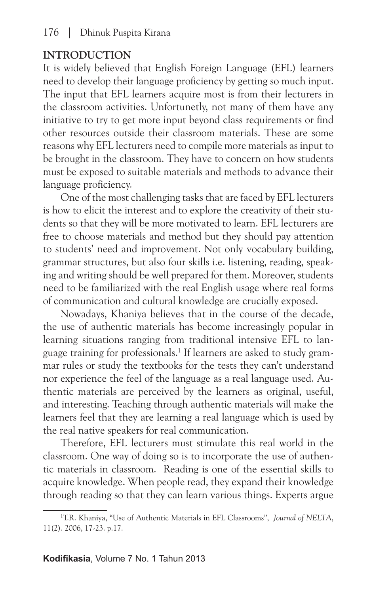# **INTRODUCTION**

It is widely believed that English Foreign Language (EFL) learners need to develop their language proficiency by getting so much input. The input that EFL learners acquire most is from their lecturers in the classroom activities. Unfortunetly, not many of them have any initiative to try to get more input beyond class requirements or find other resources outside their classroom materials. These are some reasons why EFL lecturers need to compile more materials as input to be brought in the classroom. They have to concern on how students must be exposed to suitable materials and methods to advance their language proficiency.

One of the most challenging tasks that are faced by EFL lecturers is how to elicit the interest and to explore the creativity of their students so that they will be more motivated to learn. EFL lecturers are free to choose materials and method but they should pay attention to students' need and improvement. Not only vocabulary building, grammar structures, but also four skills i.e. listening, reading, speaking and writing should be well prepared for them. Moreover, students need to be familiarized with the real English usage where real forms of communication and cultural knowledge are crucially exposed.

Nowadays, Khaniya believes that in the course of the decade, the use of authentic materials has become increasingly popular in learning situations ranging from traditional intensive EFL to language training for professionals.<sup>1</sup> If learners are asked to study grammar rules or study the textbooks for the tests they can't understand nor experience the feel of the language as a real language used. Authentic materials are perceived by the learners as original, useful, and interesting. Teaching through authentic materials will make the learners feel that they are learning a real language which is used by the real native speakers for real communication.

Therefore, EFL lecturers must stimulate this real world in the classroom. One way of doing so is to incorporate the use of authentic materials in classroom. Reading is one of the essential skills to acquire knowledge. When people read, they expand their knowledge through reading so that they can learn various things. Experts argue

<sup>1</sup> T.R. Khaniya, "Use of Authentic Materials in EFL Classrooms", *Journal of NELTA*, 11(2). 2006, 17-23. p.17.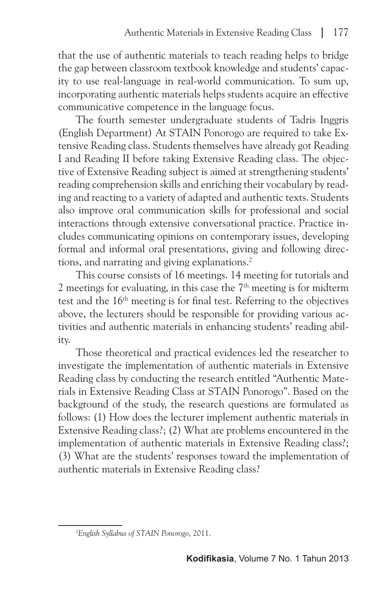that the use of authentic materials to teach reading helps to bridge the gap between classroom textbook knowledge and students' capacity to use real-language in real-world communication. To sum up, incorporating authentic materials helps students acquire an effective communicative competence in the language focus.

The fourth semester undergraduate students of Tadris Inggris (English Department) At STAIN Ponorogo are required to take Extensive Reading class. Students themselves have already got Reading I and Reading II before taking Extensive Reading class. The objective of Extensive Reading subject is aimed at strengthening students' reading comprehension skills and enriching their vocabulary by reading and reacting to a variety of adapted and authentic texts. Students also improve oral communication skills for professional and social interactions through extensive conversational practice. Practice includes communicating opinions on contemporary issues, developing formal and informal oral presentations, giving and following directions, and narrating and giving explanations.<sup>2</sup>

This course consists of 16 meetings. 14 meeting for tutorials and 2 meetings for evaluating, in this case the  $7<sup>th</sup>$  meeting is for midterm test and the 16th meeting is for final test. Referring to the objectives above, the lecturers should be responsible for providing various activities and authentic materials in enhancing students' reading ability.

Those theoretical and practical evidences led the researcher to investigate the implementation of authentic materials in Extensive Reading class by conducting the research entitled "Authentic Materials in Extensive Reading Class at STAIN Ponorogo". Based on the background of the study, the research questions are formulated as follows: (1) How does the lecturer implement authentic materials in Extensive Reading class?; (2) What are problems encountered in the implementation of authentic materials in Extensive Reading class?; (3) What are the students' responses toward the implementation of authentic materials in Extensive Reading class?

<sup>2</sup> *English Syllabus of STAIN Ponorogo*, 2011.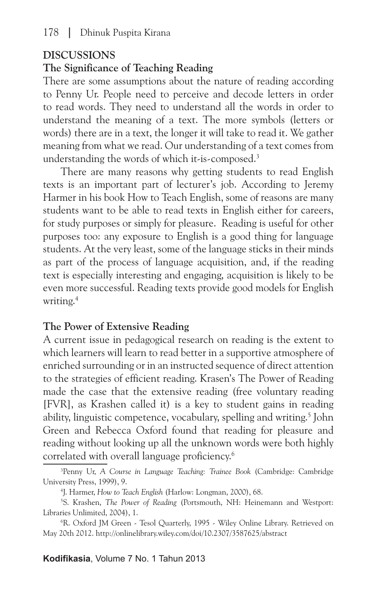## **DISCUSSIONS**

#### **The Significance of Teaching Reading**

There are some assumptions about the nature of reading according to Penny Ur. People need to perceive and decode letters in order to read words. They need to understand all the words in order to understand the meaning of a text. The more symbols (letters or words) there are in a text, the longer it will take to read it. We gather meaning from what we read. Our understanding of a text comes from understanding the words of which it-is-composed.3

There are many reasons why getting students to read English texts is an important part of lecturer's job. According to Jeremy Harmer in his book How to Teach English, some of reasons are many students want to be able to read texts in English either for careers, for study purposes or simply for pleasure. Reading is useful for other purposes too: any exposure to English is a good thing for language students. At the very least, some of the language sticks in their minds as part of the process of language acquisition, and, if the reading text is especially interesting and engaging, acquisition is likely to be even more successful. Reading texts provide good models for English writing.4

## **The Power of Extensive Reading**

A current issue in pedagogical research on reading is the extent to which learners will learn to read better in a supportive atmosphere of enriched surrounding or in an instructed sequence of direct attention to the strategies of efficient reading. Krasen's The Power of Reading made the case that the extensive reading (free voluntary reading [FVR], as Krashen called it) is a key to student gains in reading ability, linguistic competence, vocabulary, spelling and writing.5 John Green and Rebecca Oxford found that reading for pleasure and reading without looking up all the unknown words were both highly correlated with overall language proficiency.6

<sup>3</sup> Penny Ur, *A Course in Language Teaching: Trainee Book* (Cambridge: Cambridge University Press, 1999), 9.

<sup>4</sup> J. Harmer, *How to Teach English* (Harlow: Longman, 2000), 68.

<sup>5</sup> S. Krashen, *The Power of Reading* (Portsmouth, NH: Heinemann and Westport: Libraries Unlimited, 2004), 1.

<sup>6</sup> R. Oxford JM Green - Tesol Quarterly, 1995 - Wiley Online Library. Retrieved on May 20th 2012. http://onlinelibrary.wiley.com/doi/10.2307/3587625/abstract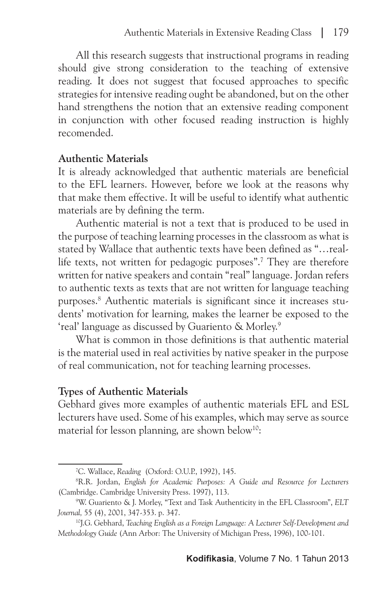All this research suggests that instructional programs in reading should give strong consideration to the teaching of extensive reading. It does not suggest that focused approaches to specific strategies for intensive reading ought be abandoned, but on the other hand strengthens the notion that an extensive reading component in conjunction with other focused reading instruction is highly recomended.

#### **Authentic Materials**

It is already acknowledged that authentic materials are beneficial to the EFL learners. However, before we look at the reasons why that make them effective. It will be useful to identify what authentic materials are by defining the term.

Authentic material is not a text that is produced to be used in the purpose of teaching learning processes in the classroom as what is stated by Wallace that authentic texts have been defined as "…reallife texts, not written for pedagogic purposes".7 They are therefore written for native speakers and contain "real" language. Jordan refers to authentic texts as texts that are not written for language teaching purposes.8 Authentic materials is significant since it increases students' motivation for learning, makes the learner be exposed to the 'real' language as discussed by Guariento & Morley.9

What is common in those definitions is that authentic material is the material used in real activities by native speaker in the purpose of real communication, not for teaching learning processes.

#### **Types of Authentic Materials**

Gebhard gives more examples of authentic materials EFL and ESL lecturers have used. Some of his examples, which may serve as source material for lesson planning, are shown below<sup>10</sup>:

<sup>7</sup> C. Wallace, *Reading* (Oxford: O.U.P., 1992), 145.

<sup>8</sup> R.R. Jordan, *English for Academic Purposes: A Guide and Resource for Lecturers* (Cambridge. Cambridge University Press. 1997), 113.

<sup>9</sup> W. Guariento & J. Morley, "Text and Task Authenticity in the EFL Classroom", *ELT Journal,* 55 (4), 2001, 347-353. p. 347.

<sup>10</sup>J.G. Gebhard, *Teaching English as a Foreign Language: A Lecturer Self-Development and Methodology Guide* (Ann Arbor: The University of Michigan Press, 1996), 100-101.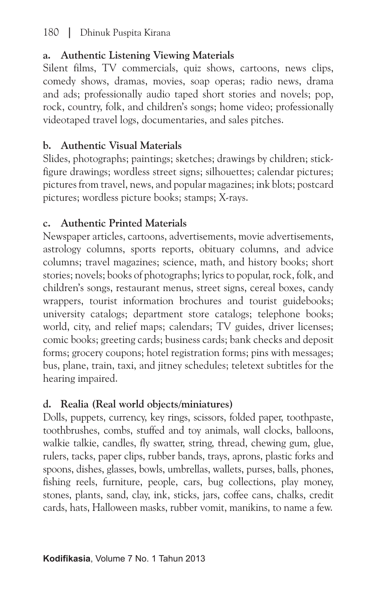# 180 **|** Dhinuk Puspita Kirana

# **a. Authentic Listening Viewing Materials**

Silent films, TV commercials, quiz shows, cartoons, news clips, comedy shows, dramas, movies, soap operas; radio news, drama and ads; professionally audio taped short stories and novels; pop, rock, country, folk, and children's songs; home video; professionally videotaped travel logs, documentaries, and sales pitches.

# **b. Authentic Visual Materials**

Slides, photographs; paintings; sketches; drawings by children; stickfigure drawings; wordless street signs; silhouettes; calendar pictures; pictures from travel, news, and popular magazines; ink blots; postcard pictures; wordless picture books; stamps; X-rays.

# **c. Authentic Printed Materials**

Newspaper articles, cartoons, advertisements, movie advertisements, astrology columns, sports reports, obituary columns, and advice columns; travel magazines; science, math, and history books; short stories; novels; books of photographs; lyrics to popular, rock, folk, and children's songs, restaurant menus, street signs, cereal boxes, candy wrappers, tourist information brochures and tourist guidebooks; university catalogs; department store catalogs; telephone books; world, city, and relief maps; calendars; TV guides, driver licenses; comic books; greeting cards; business cards; bank checks and deposit forms; grocery coupons; hotel registration forms; pins with messages; bus, plane, train, taxi, and jitney schedules; teletext subtitles for the hearing impaired.

# **d. Realia (Real world objects/miniatures)**

Dolls, puppets, currency, key rings, scissors, folded paper, toothpaste, toothbrushes, combs, stuffed and toy animals, wall clocks, balloons, walkie talkie, candles, fly swatter, string, thread, chewing gum, glue, rulers, tacks, paper clips, rubber bands, trays, aprons, plastic forks and spoons, dishes, glasses, bowls, umbrellas, wallets, purses, balls, phones, fishing reels, furniture, people, cars, bug collections, play money, stones, plants, sand, clay, ink, sticks, jars, coffee cans, chalks, credit cards, hats, Halloween masks, rubber vomit, manikins, to name a few.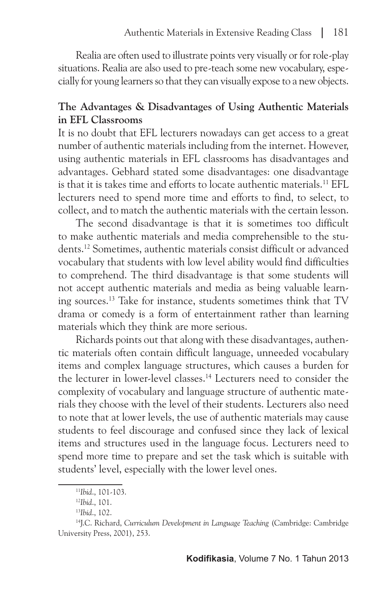Realia are often used to illustrate points very visually or for role-play situations. Realia are also used to pre-teach some new vocabulary, especially for young learners so that they can visually expose to a new objects.

## **The Advantages & Disadvantages of Using Authentic Materials in EFL Classrooms**

It is no doubt that EFL lecturers nowadays can get access to a great number of authentic materials including from the internet. However, using authentic materials in EFL classrooms has disadvantages and advantages. Gebhard stated some disadvantages: one disadvantage is that it is takes time and efforts to locate authentic materials.11 EFL lecturers need to spend more time and efforts to find, to select, to collect, and to match the authentic materials with the certain lesson.

The second disadvantage is that it is sometimes too difficult to make authentic materials and media comprehensible to the students.12 Sometimes, authentic materials consist difficult or advanced vocabulary that students with low level ability would find difficulties to comprehend. The third disadvantage is that some students will not accept authentic materials and media as being valuable learning sources.13 Take for instance, students sometimes think that TV drama or comedy is a form of entertainment rather than learning materials which they think are more serious.

Richards points out that along with these disadvantages, authentic materials often contain difficult language, unneeded vocabulary items and complex language structures, which causes a burden for the lecturer in lower-level classes.14 Lecturers need to consider the complexity of vocabulary and language structure of authentic materials they choose with the level of their students. Lecturers also need to note that at lower levels, the use of authentic materials may cause students to feel discourage and confused since they lack of lexical items and structures used in the language focus. Lecturers need to spend more time to prepare and set the task which is suitable with students' level, especially with the lower level ones.

<sup>11</sup>*Ibid*., 101-103.

<sup>12</sup>*Ibid*., 101.

<sup>13</sup>*Ibid*., 102.

<sup>&</sup>lt;sup>14</sup>J.C. Richard, *Curriculum Development in Language Teaching* (Cambridge: Cambridge University Press, 2001), 253.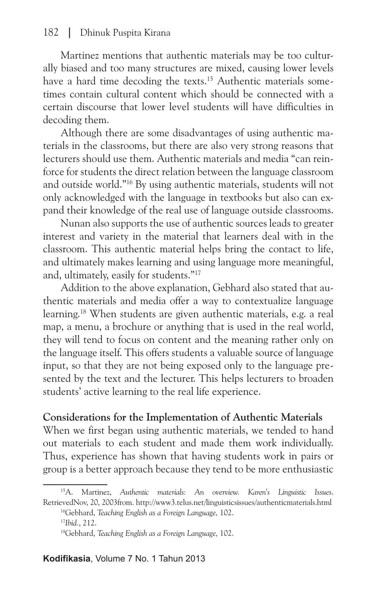Martinez mentions that authentic materials may be too culturally biased and too many structures are mixed, causing lower levels have a hard time decoding the texts.<sup>15</sup> Authentic materials sometimes contain cultural content which should be connected with a certain discourse that lower level students will have difficulties in decoding them.

Although there are some disadvantages of using authentic materials in the classrooms, but there are also very strong reasons that lecturers should use them. Authentic materials and media "can reinforce for students the direct relation between the language classroom and outside world."16 By using authentic materials, students will not only acknowledged with the language in textbooks but also can expand their knowledge of the real use of language outside classrooms.

Nunan also supports the use of authentic sources leads to greater interest and variety in the material that learners deal with in the classroom. This authentic material helps bring the contact to life, and ultimately makes learning and using language more meaningful, and, ultimately, easily for students."17

Addition to the above explanation, Gebhard also stated that authentic materials and media offer a way to contextualize language learning.18 When students are given authentic materials, e.g. a real map, a menu, a brochure or anything that is used in the real world, they will tend to focus on content and the meaning rather only on the language itself. This offers students a valuable source of language input, so that they are not being exposed only to the language presented by the text and the lecturer. This helps lecturers to broaden students' active learning to the real life experience.

#### **Considerations for the Implementation of Authentic Materials**

When we first began using authentic materials, we tended to hand out materials to each student and made them work individually. Thus, experience has shown that having students work in pairs or group is a better approach because they tend to be more enthusiastic

<sup>15</sup>A. Martinez, *Authentic materials: An overview. Karen's Linguistic Issues*. RetrievedNov, 20, 2003from. http://www3.telus.net/linguisticsissues/authenticmaterials.html 16Gebhard, *Teaching English as a Foreign Language,* 102. <sup>17</sup>*Ibid.*, 212.

<sup>18</sup>Gebhard, *Teaching English as a Foreign Language,* 102.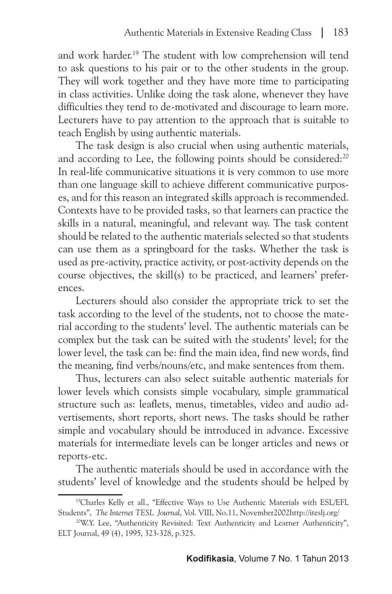and work harder.19 The student with low comprehension will tend to ask questions to his pair or to the other students in the group. They will work together and they have more time to participating in class activities. Unlike doing the task alone, whenever they have difficulties they tend to de-motivated and discourage to learn more. Lecturers have to pay attention to the approach that is suitable to teach English by using authentic materials.

The task design is also crucial when using authentic materials, and according to Lee, the following points should be considered:<sup>20</sup> In real-life communicative situations it is very common to use more than one language skill to achieve different communicative purposes, and for this reason an integrated skills approach is recommended. Contexts have to be provided tasks, so that learners can practice the skills in a natural, meaningful, and relevant way. The task content should be related to the authentic materials selected so that students can use them as a springboard for the tasks. Whether the task is used as pre-activity, practice activity, or post-activity depends on the course objectives, the skill(s) to be practiced, and learners' preferences.

Lecturers should also consider the appropriate trick to set the task according to the level of the students, not to choose the material according to the students' level. The authentic materials can be complex but the task can be suited with the students' level; for the lower level, the task can be: find the main idea, find new words, find the meaning, find verbs/nouns/etc, and make sentences from them.

Thus, lecturers can also select suitable authentic materials for lower levels which consists simple vocabulary, simple grammatical structure such as: leaflets, menus, timetables, video and audio advertisements, short reports, short news. The tasks should be rather simple and vocabulary should be introduced in advance. Excessive materials for intermediate levels can be longer articles and news or reports-etc.

The authentic materials should be used in accordance with the students' level of knowledge and the students should be helped by

<sup>19</sup>Charles Kelly et all., "Effective Ways to Use Authentic Materials with ESL/EFL Students", *The Internet TESL Journal*, Vol. VIII, No.11, November2002http://iteslj.org/ 20W.Y. Lee, "Authenticity Revisited: Text Authenticity and Learner Authenticity",

ELT Journal, 49 (4), 1995, 323-328, p.325.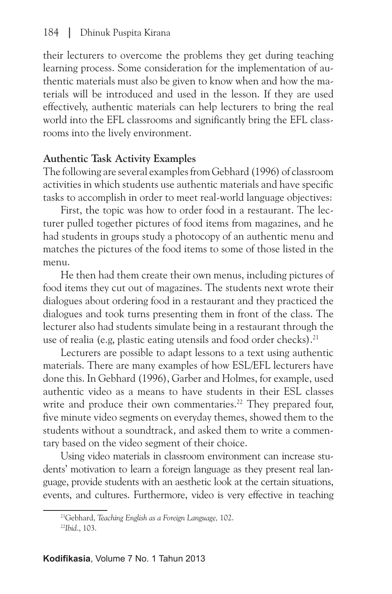their lecturers to overcome the problems they get during teaching learning process. Some consideration for the implementation of authentic materials must also be given to know when and how the materials will be introduced and used in the lesson. If they are used effectively, authentic materials can help lecturers to bring the real world into the EFL classrooms and significantly bring the EFL classrooms into the lively environment.

## **Authentic Task Activity Examples**

The following are several examples from Gebhard (1996) of classroom activities in which students use authentic materials and have specific tasks to accomplish in order to meet real-world language objectives:

First, the topic was how to order food in a restaurant. The lecturer pulled together pictures of food items from magazines, and he had students in groups study a photocopy of an authentic menu and matches the pictures of the food items to some of those listed in the menu.

He then had them create their own menus, including pictures of food items they cut out of magazines. The students next wrote their dialogues about ordering food in a restaurant and they practiced the dialogues and took turns presenting them in front of the class. The lecturer also had students simulate being in a restaurant through the use of realia (e.g, plastic eating utensils and food order checks).<sup>21</sup>

Lecturers are possible to adapt lessons to a text using authentic materials. There are many examples of how ESL/EFL lecturers have done this. In Gebhard (1996), Garber and Holmes, for example, used authentic video as a means to have students in their ESL classes write and produce their own commentaries.<sup>22</sup> They prepared four, five minute video segments on everyday themes, showed them to the students without a soundtrack, and asked them to write a commentary based on the video segment of their choice.

Using video materials in classroom environment can increase students' motivation to learn a foreign language as they present real language, provide students with an aesthetic look at the certain situations, events, and cultures. Furthermore, video is very effective in teaching

<sup>21</sup>Gebhard, *Teaching English as a Foreign Language,* 102.

<sup>22</sup>*Ibid*., 103.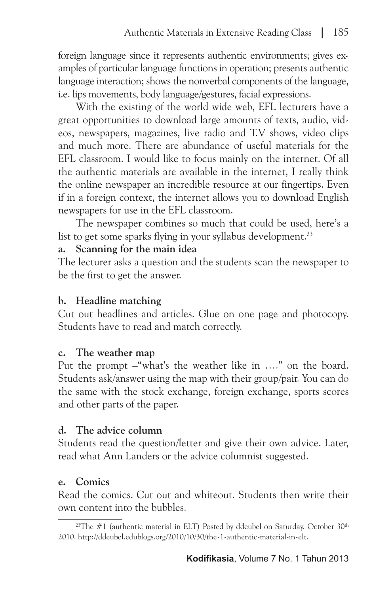foreign language since it represents authentic environments; gives examples of particular language functions in operation; presents authentic language interaction; shows the nonverbal components of the language, i.e. lips movements, body language/gestures, facial expressions.

With the existing of the world wide web, EFL lecturers have a great opportunities to download large amounts of texts, audio, videos, newspapers, magazines, live radio and T.V shows, video clips and much more. There are abundance of useful materials for the EFL classroom. I would like to focus mainly on the internet. Of all the authentic materials are available in the internet, I really think the online newspaper an incredible resource at our fingertips. Even if in a foreign context, the internet allows you to download English newspapers for use in the EFL classroom.

The newspaper combines so much that could be used, here's a list to get some sparks flying in your syllabus development.<sup>23</sup>

#### **a. Scanning for the main idea**

The lecturer asks a question and the students scan the newspaper to be the first to get the answer.

## **b. Headline matching**

Cut out headlines and articles. Glue on one page and photocopy. Students have to read and match correctly.

#### **c. The weather map**

Put the prompt –"what's the weather like in …." on the board. Students ask/answer using the map with their group/pair. You can do the same with the stock exchange, foreign exchange, sports scores and other parts of the paper.

## **d. The advice column**

Students read the question/letter and give their own advice. Later, read what Ann Landers or the advice columnist suggested.

## **e. Comics**

Read the comics. Cut out and whiteout. Students then write their own content into the bubbles.

<sup>&</sup>lt;sup>23</sup>The  $#1$  (authentic material in ELT) Posted by ddeubel on Saturday, October  $30<sup>th</sup>$ 2010. http://ddeubel.edublogs.org/2010/10/30/the-1-authentic-material-in-elt.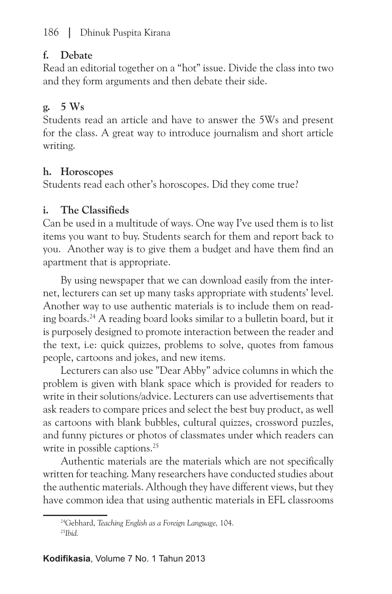## 186 **|** Dhinuk Puspita Kirana

#### **f. Debate**

Read an editorial together on a "hot" issue. Divide the class into two and they form arguments and then debate their side.

## **g. 5 Ws**

Students read an article and have to answer the 5Ws and present for the class. A great way to introduce journalism and short article writing.

# **h. Horoscopes**

Students read each other's horoscopes. Did they come true?

# **i. The Classifieds**

Can be used in a multitude of ways. One way I've used them is to list items you want to buy. Students search for them and report back to you. Another way is to give them a budget and have them find an apartment that is appropriate.

By using newspaper that we can download easily from the internet, lecturers can set up many tasks appropriate with students' level. Another way to use authentic materials is to include them on reading boards.24 A reading board looks similar to a bulletin board, but it is purposely designed to promote interaction between the reader and the text, i.e: quick quizzes, problems to solve, quotes from famous people, cartoons and jokes, and new items.

Lecturers can also use "Dear Abby" advice columns in which the problem is given with blank space which is provided for readers to write in their solutions/advice. Lecturers can use advertisements that ask readers to compare prices and select the best buy product, as well as cartoons with blank bubbles, cultural quizzes, crossword puzzles, and funny pictures or photos of classmates under which readers can write in possible captions.<sup>25</sup>

Authentic materials are the materials which are not specifically written for teaching. Many researchers have conducted studies about the authentic materials. Although they have different views, but they have common idea that using authentic materials in EFL classrooms

<sup>24</sup>Gebhard, *Teaching English as a Foreign Language,* 104. 25*Ibid.*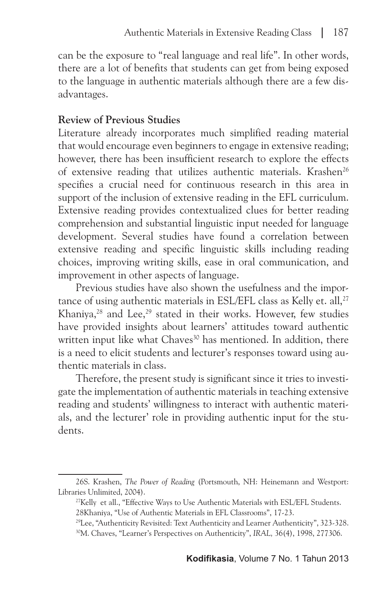can be the exposure to "real language and real life". In other words, there are a lot of benefits that students can get from being exposed to the language in authentic materials although there are a few disadvantages.

# **Review of Previous Studies**

Literature already incorporates much simplified reading material that would encourage even beginners to engage in extensive reading; however, there has been insufficient research to explore the effects of extensive reading that utilizes authentic materials. Krashen<sup>26</sup> specifies a crucial need for continuous research in this area in support of the inclusion of extensive reading in the EFL curriculum. Extensive reading provides contextualized clues for better reading comprehension and substantial linguistic input needed for language development. Several studies have found a correlation between extensive reading and specific linguistic skills including reading choices, improving writing skills, ease in oral communication, and improvement in other aspects of language.

Previous studies have also shown the usefulness and the importance of using authentic materials in ESL/EFL class as Kelly et. all,<sup>27</sup> Khaniya,<sup>28</sup> and Lee,<sup>29</sup> stated in their works. However, few studies have provided insights about learners' attitudes toward authentic written input like what Chaves<sup>30</sup> has mentioned. In addition, there is a need to elicit students and lecturer's responses toward using authentic materials in class.

Therefore, the present study is significant since it tries to investigate the implementation of authentic materials in teaching extensive reading and students' willingness to interact with authentic materials, and the lecturer' role in providing authentic input for the students.

<sup>26</sup>S. Krashen, *The Power of Reading* (Portsmouth, NH: Heinemann and Westport: Libraries Unlimited, 2004).

<sup>&</sup>lt;sup>27</sup>Kelly et all., "Effective Ways to Use Authentic Materials with ESL/EFL Students.

<sup>28</sup>Khaniya, "Use of Authentic Materials in EFL Classrooms", 17-23.<br><sup>29</sup>Lee, "Authenticity Revisited: Text Authenticity and Learner Authenticity", 323-328.<br><sup>30</sup>M. Chaves, "Learner's Perspectives on Authenticity", IRAL, 36(4)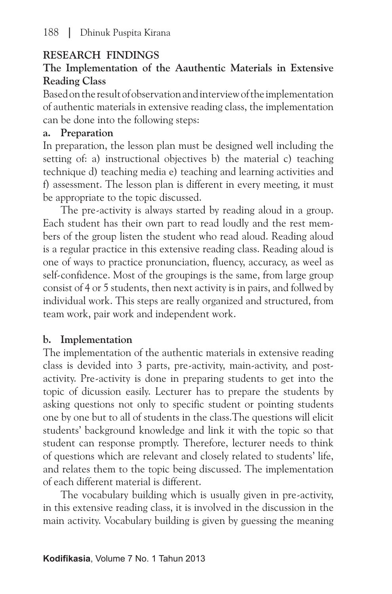# **RESEARCH FINDINGS**

# **The Implementation of the Aauthentic Materials in Extensive Reading Class**

Based on the result of observation and interview of the implementation of authentic materials in extensive reading class, the implementation can be done into the following steps:

#### **a. Preparation**

In preparation, the lesson plan must be designed well including the setting of: a) instructional objectives b) the material c) teaching technique d) teaching media e) teaching and learning activities and f) assessment. The lesson plan is different in every meeting, it must be appropriate to the topic discussed.

The pre-activity is always started by reading aloud in a group. Each student has their own part to read loudly and the rest members of the group listen the student who read aloud. Reading aloud is a regular practice in this extensive reading class. Reading aloud is one of ways to practice pronunciation, fluency, accuracy, as weel as self-confidence. Most of the groupings is the same, from large group consist of 4 or 5 students, then next activity is in pairs, and follwed by individual work. This steps are really organized and structured, from team work, pair work and independent work.

## **b. Implementation**

The implementation of the authentic materials in extensive reading class is devided into 3 parts, pre-activity, main-activity, and postactivity. Pre-activity is done in preparing students to get into the topic of dicussion easily. Lecturer has to prepare the students by asking questions not only to specific student or pointing students one by one but to all of students in the class.The questions will elicit students' background knowledge and link it with the topic so that student can response promptly. Therefore, lecturer needs to think of questions which are relevant and closely related to students' life, and relates them to the topic being discussed. The implementation of each different material is different.

The vocabulary building which is usually given in pre-activity, in this extensive reading class, it is involved in the discussion in the main activity. Vocabulary building is given by guessing the meaning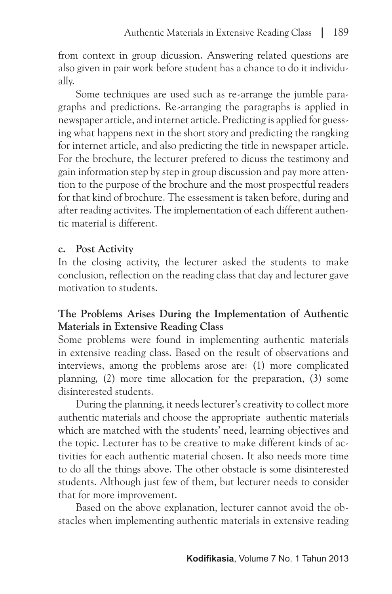from context in group dicussion. Answering related questions are also given in pair work before student has a chance to do it individually.

Some techniques are used such as re-arrange the jumble paragraphs and predictions. Re-arranging the paragraphs is applied in newspaper article, and internet article. Predicting is applied for guessing what happens next in the short story and predicting the rangking for internet article, and also predicting the title in newspaper article. For the brochure, the lecturer prefered to dicuss the testimony and gain information step by step in group discussion and pay more attention to the purpose of the brochure and the most prospectful readers for that kind of brochure. The essessment is taken before, during and after reading activites. The implementation of each different authentic material is different.

## **c. Post Activity**

In the closing activity, the lecturer asked the students to make conclusion, reflection on the reading class that day and lecturer gave motivation to students.

# **The Problems Arises During the Implementation of Authentic Materials in Extensive Reading Class**

Some problems were found in implementing authentic materials in extensive reading class. Based on the result of observations and interviews, among the problems arose are: (1) more complicated planning, (2) more time allocation for the preparation, (3) some disinterested students.

During the planning, it needs lecturer's creativity to collect more authentic materials and choose the appropriate authentic materials which are matched with the students' need, learning objectives and the topic. Lecturer has to be creative to make different kinds of activities for each authentic material chosen. It also needs more time to do all the things above. The other obstacle is some disinterested students. Although just few of them, but lecturer needs to consider that for more improvement.

Based on the above explanation, lecturer cannot avoid the obstacles when implementing authentic materials in extensive reading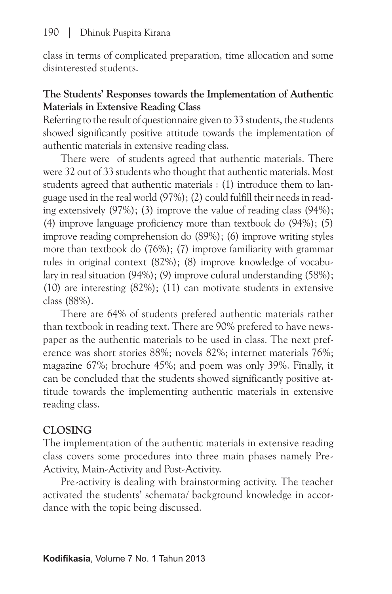class in terms of complicated preparation, time allocation and some disinterested students.

#### **The Students' Responses towards the Implementation of Authentic Materials in Extensive Reading Class**

Referring to the result of questionnaire given to 33 students, the students showed significantly positive attitude towards the implementation of authentic materials in extensive reading class.

There were of students agreed that authentic materials. There were 32 out of 33 students who thought that authentic materials. Most students agreed that authentic materials : (1) introduce them to language used in the real world (97%); (2) could fulfill their needs in reading extensively (97%); (3) improve the value of reading class (94%); (4) improve language proficiency more than textbook do (94%); (5) improve reading comprehension do (89%); (6) improve writing styles more than textbook do (76%); (7) improve familiarity with grammar rules in original context (82%); (8) improve knowledge of vocabulary in real situation (94%); (9) improve culural understanding (58%); (10) are interesting (82%); (11) can motivate students in extensive class (88%).

There are 64% of students prefered authentic materials rather than textbook in reading text. There are 90% prefered to have newspaper as the authentic materials to be used in class. The next preference was short stories 88%; novels 82%; internet materials 76%; magazine 67%; brochure 45%; and poem was only 39%. Finally, it can be concluded that the students showed significantly positive attitude towards the implementing authentic materials in extensive reading class.

## **CLOSING**

The implementation of the authentic materials in extensive reading class covers some procedures into three main phases namely Pre-Activity, Main-Activity and Post-Activity.

Pre-activity is dealing with brainstorming activity. The teacher activated the students' schemata/ background knowledge in accordance with the topic being discussed.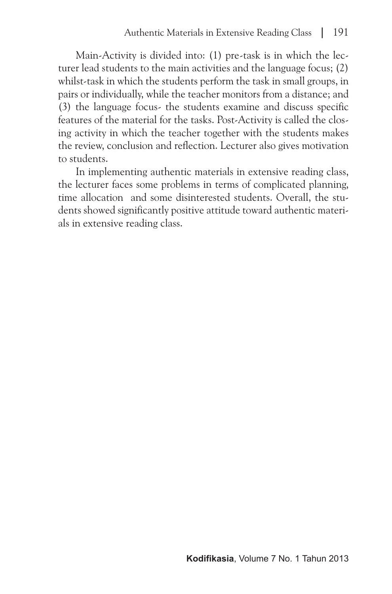Main-Activity is divided into: (1) pre-task is in which the lecturer lead students to the main activities and the language focus; (2) whilst-task in which the students perform the task in small groups, in pairs or individually, while the teacher monitors from a distance; and (3) the language focus- the students examine and discuss specific features of the material for the tasks. Post-Activity is called the closing activity in which the teacher together with the students makes the review, conclusion and reflection. Lecturer also gives motivation to students.

In implementing authentic materials in extensive reading class, the lecturer faces some problems in terms of complicated planning, time allocation and some disinterested students. Overall, the students showed significantly positive attitude toward authentic materials in extensive reading class.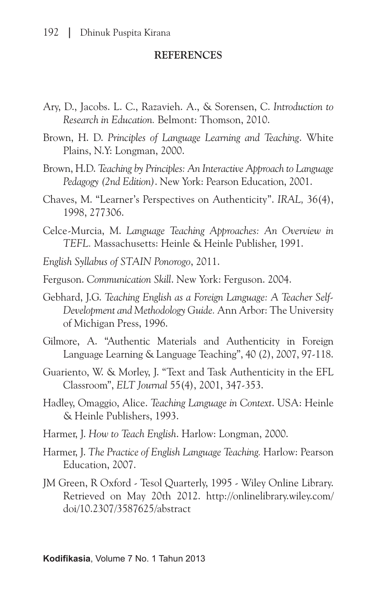#### **REFERENCES**

- Ary, D., Jacobs. L. C., Razavieh. A., & Sorensen, C. *Introduction to Research in Education.* Belmont: Thomson, 2010.
- Brown, H. D. *Principles of Language Learning and Teaching*. White Plains, N.Y: Longman, 2000.
- Brown, H.D. *Teaching by Principles: An Interactive Approach to Language Pedagogy (2nd Edition)*. New York: Pearson Education, 2001.
- Chaves, M. "Learner's Perspectives on Authenticity". *IRAL,* 36(4), 1998, 277306.
- Celce-Murcia, M. *Language Teaching Approaches: An Overview in TEFL.* Massachusetts: Heinle & Heinle Publisher, 1991.
- *English Syllabus of STAIN Ponorogo*, 2011.
- Ferguson. *Communication Skill*. New York: Ferguson. 2004.
- Gebhard, J.G. *Teaching English as a Foreign Language: A Teacher Self-Development and Methodology Guide.* Ann Arbor: The University of Michigan Press, 1996.
- Gilmore, A. "Authentic Materials and Authenticity in Foreign Language Learning & Language Teaching", 40 (2), 2007, 97-118.
- Guariento, W. & Morley, J. "Text and Task Authenticity in the EFL Classroom", *ELT Journal* 55(4), 2001, 347-353.
- Hadley, Omaggio, Alice. *Teaching Language in Context*. USA: Heinle & Heinle Publishers, 1993.
- Harmer, J. *How to Teach English*. Harlow: Longman, 2000.
- Harmer, J. *The Practice of English Language Teaching.* Harlow: Pearson Education, 2007.
- JM Green, R Oxford Tesol Quarterly, 1995 Wiley Online Library. Retrieved on May 20th 2012. http://onlinelibrary.wiley.com/ doi/10.2307/3587625/abstract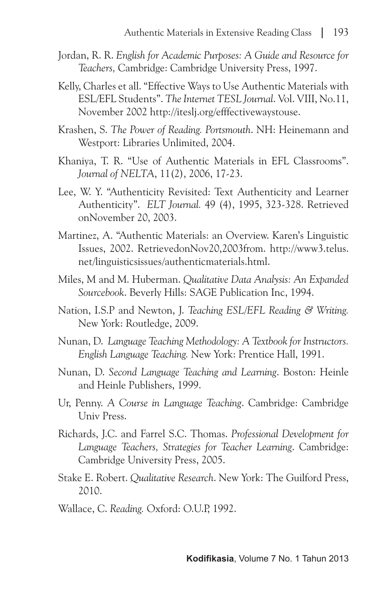- Jordan, R. R. *English for Academic Purposes: A Guide and Resource for Teachers,* Cambridge: Cambridge University Press, 1997.
- Kelly, Charles et all. "Effective Ways to Use Authentic Materials with ESL/EFL Students". *The Internet TESL Journal*. Vol. VIII, No.11, November 2002 http://iteslj.org/efffectivewaystouse.
- Krashen, S. *The Power of Reading. Portsmouth*. NH: Heinemann and Westport: Libraries Unlimited, 2004.
- Khaniya, T. R. "Use of Authentic Materials in EFL Classrooms". *Journal of NELTA*, 11(2), 2006, 17-23.
- Lee, W. Y. "Authenticity Revisited: Text Authenticity and Learner Authenticity". *ELT Journal.* 49 (4), 1995, 323-328. Retrieved onNovember 20, 2003.
- Martinez, A. "Authentic Materials: an Overview. Karen's Linguistic Issues, 2002. RetrievedonNov20,2003from. http://www3.telus. net/linguisticsissues/authenticmaterials.html.
- Miles, M and M. Huberman. *Qualitative Data Analysis: An Expanded Sourcebook*. Beverly Hills: SAGE Publication Inc, 1994.
- Nation, I.S.P and Newton, J. *Teaching ESL/EFL Reading & Writing.* New York: Routledge, 2009.
- Nunan, D. *Language Teaching Methodology: A Textbook for Instructors. English Language Teaching.* New York: Prentice Hall, 1991.
- Nunan, D. *Second Language Teaching and Learning*. Boston: Heinle and Heinle Publishers, 1999.
- Ur, Penny. *A Course in Language Teaching*. Cambridge: Cambridge Univ Press.
- Richards, J.C. and Farrel S.C. Thomas. *Professional Development for Language Teachers, Strategies for Teacher Learning*. Cambridge: Cambridge University Press, 2005.
- Stake E. Robert. *Qualitative Research*. New York: The Guilford Press, 2010.
- Wallace, C. *Reading.* Oxford: O.U.P, 1992.